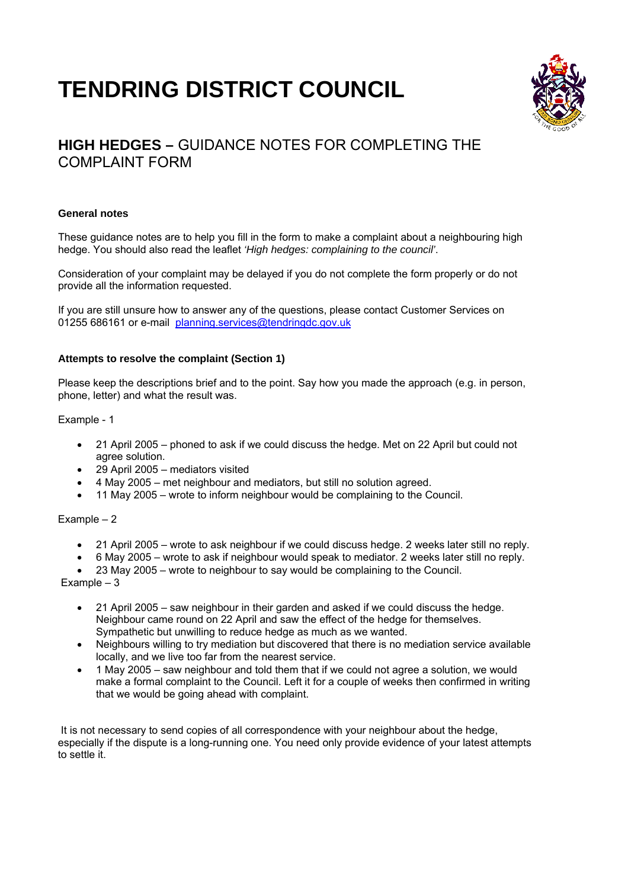# **TENDRING DISTRICT COUNCIL**



# **HIGH HEDGES –** GUIDANCE NOTES FOR COMPLETING THE COMPLAINT FORM

## **General notes**

These guidance notes are to help you fill in the form to make a complaint about a neighbouring high hedge. You should also read the leaflet *'High hedges: complaining to the council'*.

Consideration of your complaint may be delayed if you do not complete the form properly or do not provide all the information requested.

If you are still unsure how to answer any of the questions, please contact Customer Services on 01255 686161 or e-mail planning.services@tendringdc.gov.uk

## **Attempts to resolve the complaint (Section 1)**

Please keep the descriptions brief and to the point. Say how you made the approach (e.g. in person, phone, letter) and what the result was.

Example - 1

- 21 April 2005 phoned to ask if we could discuss the hedge. Met on 22 April but could not agree solution.
- 29 April 2005 mediators visited
- 4 May 2005 met neighbour and mediators, but still no solution agreed.
- 11 May 2005 wrote to inform neighbour would be complaining to the Council.

Example – 2

- 21 April 2005 wrote to ask neighbour if we could discuss hedge. 2 weeks later still no reply.
- 6 May 2005 wrote to ask if neighbour would speak to mediator. 2 weeks later still no reply.
- 23 May 2005 wrote to neighbour to say would be complaining to the Council.

Example – 3

- 21 April 2005 saw neighbour in their garden and asked if we could discuss the hedge. Neighbour came round on 22 April and saw the effect of the hedge for themselves. Sympathetic but unwilling to reduce hedge as much as we wanted.
- Neighbours willing to try mediation but discovered that there is no mediation service available locally, and we live too far from the nearest service.
- 1 May 2005 saw neighbour and told them that if we could not agree a solution, we would make a formal complaint to the Council. Left it for a couple of weeks then confirmed in writing that we would be going ahead with complaint.

It is not necessary to send copies of all correspondence with your neighbour about the hedge, especially if the dispute is a long-running one. You need only provide evidence of your latest attempts to settle it.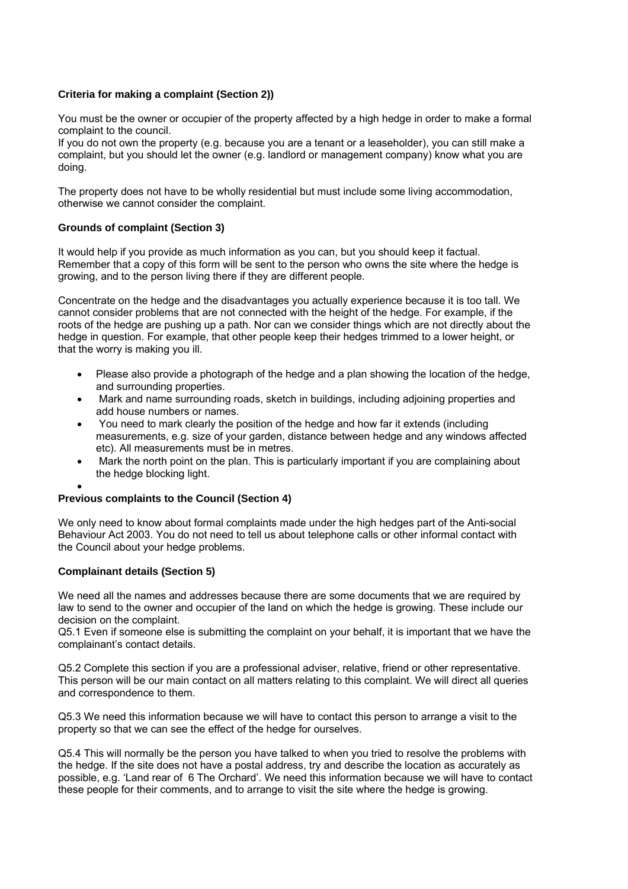## **Criteria for making a complaint (Section 2))**

You must be the owner or occupier of the property affected by a high hedge in order to make a formal complaint to the council.

If you do not own the property (e.g. because you are a tenant or a leaseholder), you can still make a complaint, but you should let the owner (e.g. landlord or management company) know what you are doing.

The property does not have to be wholly residential but must include some living accommodation, otherwise we cannot consider the complaint.

#### **Grounds of complaint (Section 3)**

It would help if you provide as much information as you can, but you should keep it factual. Remember that a copy of this form will be sent to the person who owns the site where the hedge is growing, and to the person living there if they are different people.

Concentrate on the hedge and the disadvantages you actually experience because it is too tall. We cannot consider problems that are not connected with the height of the hedge. For example, if the roots of the hedge are pushing up a path. Nor can we consider things which are not directly about the hedge in question. For example, that other people keep their hedges trimmed to a lower height, or that the worry is making you ill.

- Please also provide a photograph of the hedge and a plan showing the location of the hedge, and surrounding properties.
- Mark and name surrounding roads, sketch in buildings, including adjoining properties and add house numbers or names.
- You need to mark clearly the position of the hedge and how far it extends (including measurements, e.g. size of your garden, distance between hedge and any windows affected etc). All measurements must be in metres.
- Mark the north point on the plan. This is particularly important if you are complaining about the hedge blocking light.

#### • **Previous complaints to the Council (Section 4)**

We only need to know about formal complaints made under the high hedges part of the Anti-social Behaviour Act 2003. You do not need to tell us about telephone calls or other informal contact with the Council about your hedge problems.

#### **Complainant details (Section 5)**

We need all the names and addresses because there are some documents that we are required by law to send to the owner and occupier of the land on which the hedge is growing. These include our decision on the complaint.

Q5.1 Even if someone else is submitting the complaint on your behalf, it is important that we have the complainant's contact details.

Q5.2 Complete this section if you are a professional adviser, relative, friend or other representative. This person will be our main contact on all matters relating to this complaint. We will direct all queries and correspondence to them.

Q5.3 We need this information because we will have to contact this person to arrange a visit to the property so that we can see the effect of the hedge for ourselves.

Q5.4 This will normally be the person you have talked to when you tried to resolve the problems with the hedge. If the site does not have a postal address, try and describe the location as accurately as possible, e.g. 'Land rear of 6 The Orchard'. We need this information because we will have to contact these people for their comments, and to arrange to visit the site where the hedge is growing.